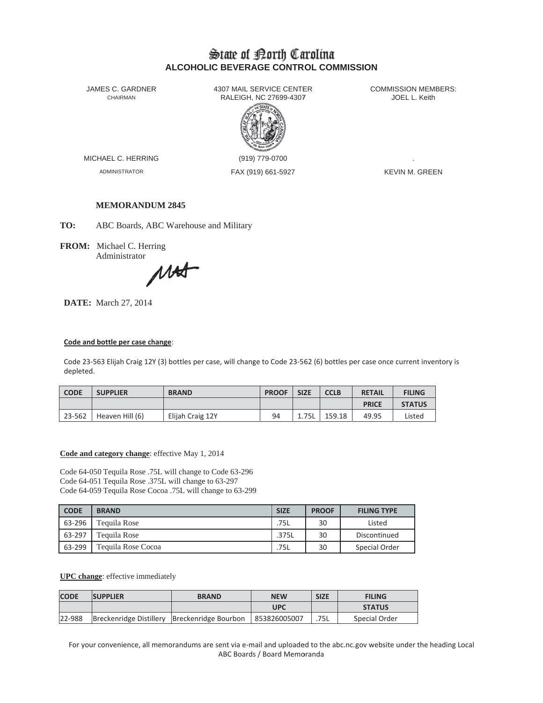# State of Borth Carolina **ALCOHOLIC BEVERAGE CONTROL COMMISSION**

JAMES C. GARDNER CHAIRMAN

4307 MAIL SERVICE CENTER RALEIGH, NC 27699-4307



MICHAEL C. HERRING

**ADMINISTRATOR** 

(919) 779-0700 FAX (919) 661-5927 **COMMISSION MEMBERS:** JOEL L. Keith

**KEVIN M. GREEN** 

## **MEMORANDUM 2845**

TO: ABC Boards, ABC Warehouse and Military

FROM: Michael C. Herring Administrator

MAT

**DATE:** March 27, 2014

## Code and bottle per case change:

Code 23-563 Elijah Craig 12Y (3) bottles per case, will change to Code 23-562 (6) bottles per case once current inventory is depleted.

| <b>CODE</b> | <b>SUPPLIER</b> | <b>BRAND</b>     | <b>PROOF</b> | <b>SIZE</b> | <b>CCLB</b> | <b>RETAIL</b> | <b>FILING</b> |
|-------------|-----------------|------------------|--------------|-------------|-------------|---------------|---------------|
|             |                 |                  |              |             |             | <b>PRICE</b>  | <b>STATUS</b> |
| 23-562      | Heaven Hill (6) | Elijah Craig 12Y | 94           | 1.75L       | 159.18      | 49.95         | Listed        |

### Code and category change: effective May 1, 2014

Code 64-050 Tequila Rose .75L will change to Code 63-296 Code 64-051 Tequila Rose .375L will change to 63-297 Code 64-059 Tequila Rose Cocoa .75L will change to 63-299

| <b>CODE</b> | <b>BRAND</b>       | <b>SIZE</b> | <b>PROOF</b> | <b>FILING TYPE</b> |
|-------------|--------------------|-------------|--------------|--------------------|
| 63-296      | Tequila Rose       | .75L        | 30           | Listed             |
| 63-297      | Tequila Rose       | .375L       | 30           | Discontinued       |
| 63-299      | Tequila Rose Cocoa | .75L        | 30           | Special Order      |

### **UPC** change: effective immediately

| <b>CODE</b> | <b>ISUPPLIER</b> | <b>BRAND</b>                                 | <b>NEW</b>   | <b>SIZE</b> | <b>FILING</b> |
|-------------|------------------|----------------------------------------------|--------------|-------------|---------------|
|             |                  |                                              | UPC          |             | <b>STATUS</b> |
| 22-988      |                  | Breckenridge Distillery Breckenridge Bourbon | 853826005007 | .75L        | Special Order |

For your convenience, all memorandums are sent via e-mail and uploaded to the abc.nc.gov website under the heading Local ABC Boards / Board Memoranda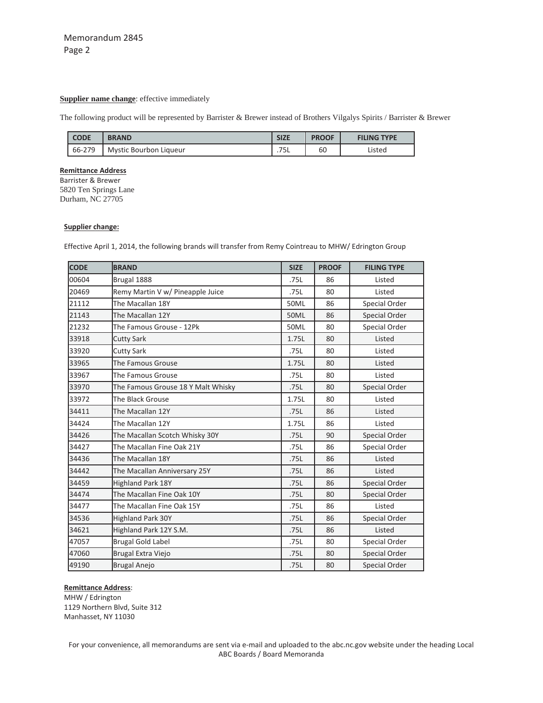## **Supplier name change**: effective immediately

The following product will be represented by Barrister & Brewer instead of Brothers Vilgalys Spirits / Barrister & Brewer

| <b>CODE</b> | <b>BRAND</b>           | <b>SIZE</b>                    | <b>PROOF</b> | <b>FILING TYPE</b> |
|-------------|------------------------|--------------------------------|--------------|--------------------|
| 66-279      | Mystic Bourbon Liqueur | <b>751</b><br>. <i>. .</i> J L | 60           | Listed             |

#### **Remittance Address**

Barrister & Brewer 5820 Ten Springs Lane Durham, NC 27705

#### **Supplier change:**

Effective April 1, 2014, the following brands will transfer from Remy Cointreau to MHW/ Edrington Group

| <b>CODE</b> | <b>BRAND</b>                       | <b>SIZE</b> | <b>PROOF</b> | <b>FILING TYPE</b> |
|-------------|------------------------------------|-------------|--------------|--------------------|
| 00604       | Brugal 1888                        | .75L        | 86           | Listed             |
| 20469       | Remy Martin V w/ Pineapple Juice   | .75L        | 80           | Listed             |
| 21112       | The Macallan 18Y                   | 50ML        | 86           | Special Order      |
| 21143       | The Macallan 12Y                   | 50ML        | 86           | Special Order      |
| 21232       | The Famous Grouse - 12Pk           | 50ML        | 80           | Special Order      |
| 33918       | <b>Cutty Sark</b>                  | 1.75L       | 80           | Listed             |
| 33920       | <b>Cutty Sark</b>                  | .75L        | 80           | Listed             |
| 33965       | The Famous Grouse                  | 1.75L       | 80           | Listed             |
| 33967       | The Famous Grouse                  | .75L        | 80           | Listed             |
| 33970       | The Famous Grouse 18 Y Malt Whisky | .75L        | 80           | Special Order      |
| 33972       | The Black Grouse                   | 1.75L       | 80           | Listed             |
| 34411       | The Macallan 12Y                   | .75L        | 86           | Listed             |
| 34424       | The Macallan 12Y                   | 1.75L       | 86           | Listed             |
| 34426       | The Macallan Scotch Whisky 30Y     | .75L        | 90           | Special Order      |
| 34427       | The Macallan Fine Oak 21Y          | .75L        | 86           | Special Order      |
| 34436       | The Macallan 18Y                   | .75L        | 86           | Listed             |
| 34442       | The Macallan Anniversary 25Y       | .75L        | 86           | Listed             |
| 34459       | <b>Highland Park 18Y</b>           | .75L        | 86           | Special Order      |
| 34474       | The Macallan Fine Oak 10Y          | .75L        | 80           | Special Order      |
| 34477       | The Macallan Fine Oak 15Y          | .75L        | 86           | Listed             |
| 34536       | <b>Highland Park 30Y</b>           | .75L        | 86           | Special Order      |
| 34621       | Highland Park 12Y S.M.             | .75L        | 86           | Listed             |
| 47057       | <b>Brugal Gold Label</b>           | .75L        | 80           | Special Order      |
| 47060       | Brugal Extra Viejo                 | .75L        | 80           | Special Order      |
| 49190       | <b>Brugal Anejo</b>                | .75L        | 80           | Special Order      |

#### **Remittance Address**:

MHW / Edrington Northern Blvd, Suite 312 Manhasset, NY 11030

For your convenience, all memorandums are sent via e-mail and uploaded to the abc.nc.gov website under the heading Local ABC Boards / Board Memoranda